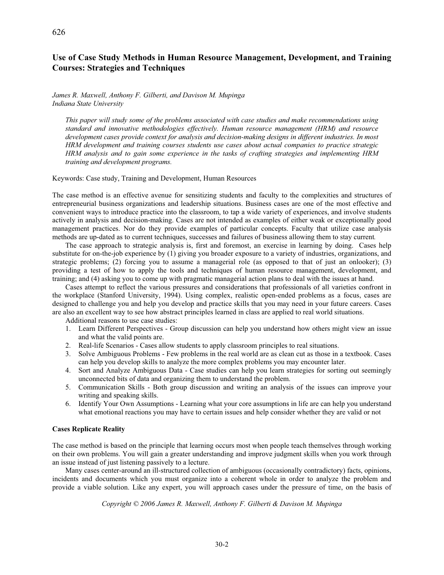# **Use of Case Study Methods in Human Resource Management, Development, and Training Courses: Strategies and Techniques**

*James R. Maxwell, Anthony F. Gilberti, and Davison M. Mupinga Indiana State University* 

*This paper will study some of the problems associated with case studies and make recommendations using standard and innovative methodologies effectively. Human resource management (HRM) and resource development cases provide context for analysis and decision-making designs in different industries. In most HRM development and training courses students use cases about actual companies to practice strategic HRM analysis and to gain some experience in the tasks of crafting strategies and implementing HRM training and development programs.*

Keywords: Case study, Training and Development, Human Resources

The case method is an effective avenue for sensitizing students and faculty to the complexities and structures of entrepreneurial business organizations and leadership situations. Business cases are one of the most effective and convenient ways to introduce practice into the classroom, to tap a wide variety of experiences, and involve students actively in analysis and decision-making. Cases are not intended as examples of either weak or exceptionally good management practices. Nor do they provide examples of particular concepts. Faculty that utilize case analysis methods are up-dated as to current techniques, successes and failures of business allowing them to stay current*.*

The case approach to strategic analysis is, first and foremost, an exercise in learning by doing. Cases help substitute for on-the-job experience by (1) giving you broader exposure to a variety of industries, organizations, and strategic problems; (2) forcing you to assume a managerial role (as opposed to that of just an onlooker); (3) providing a test of how to apply the tools and techniques of human resource management, development, and training; and (4) asking you to come up with pragmatic managerial action plans to deal with the issues at hand.

Cases attempt to reflect the various pressures and considerations that professionals of all varieties confront in the workplace (Stanford University, 1994). Using complex, realistic open-ended problems as a focus, cases are designed to challenge you and help you develop and practice skills that you may need in your future careers. Cases are also an excellent way to see how abstract principles learned in class are applied to real world situations.

Additional reasons to use case studies:

- 1. Learn Different Perspectives Group discussion can help you understand how others might view an issue and what the valid points are.
- 2. Real-life Scenarios Cases allow students to apply classroom principles to real situations.
- 3. Solve Ambiguous Problems Few problems in the real world are as clean cut as those in a textbook. Cases can help you develop skills to analyze the more complex problems you may encounter later.
- 4. Sort and Analyze Ambiguous Data Case studies can help you learn strategies for sorting out seemingly unconnected bits of data and organizing them to understand the problem.
- 5. Communication Skills Both group discussion and writing an analysis of the issues can improve your writing and speaking skills.
- 6. Identify Your Own Assumptions Learning what your core assumptions in life are can help you understand what emotional reactions you may have to certain issues and help consider whether they are valid or not

## **Cases Replicate Reality**

The case method is based on the principle that learning occurs most when people teach themselves through working on their own problems. You will gain a greater understanding and improve judgment skills when you work through an issue instead of just listening passively to a lecture.

Many cases center-around an ill-structured collection of ambiguous (occasionally contradictory) facts, opinions, incidents and documents which you must organize into a coherent whole in order to analyze the problem and provide a viable solution. Like any expert, you will approach cases under the pressure of time, on the basis of

*Copyright © 2006 James R. Maxwell, Anthony F. Gilberti & Davison M. Mupinga* 

30-2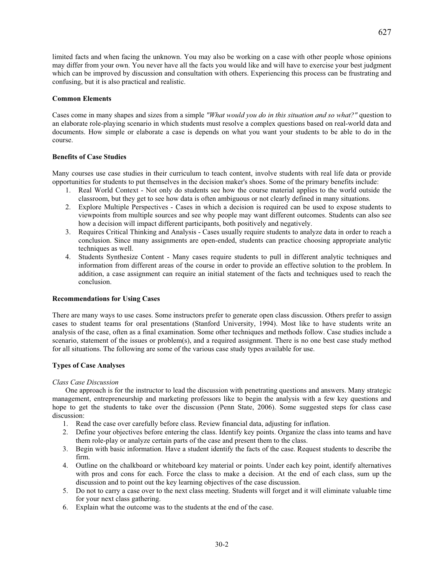limited facts and when facing the unknown. You may also be working on a case with other people whose opinions may differ from your own. You never have all the facts you would like and will have to exercise your best judgment which can be improved by discussion and consultation with others. Experiencing this process can be frustrating and confusing, but it is also practical and realistic.

## **Common Elements**

Cases come in many shapes and sizes from a simple *"What would you do in this situation and so what?"* question to an elaborate role-playing scenario in which students must resolve a complex questions based on real-world data and documents. How simple or elaborate a case is depends on what you want your students to be able to do in the course.

## **Benefits of Case Studies**

Many courses use case studies in their curriculum to teach content, involve students with real life data or provide opportunities for students to put themselves in the decision maker's shoes. Some of the primary benefits include:

- 1. Real World Context Not only do students see how the course material applies to the world outside the classroom, but they get to see how data is often ambiguous or not clearly defined in many situations.
- 2. Explore Multiple Perspectives Cases in which a decision is required can be used to expose students to viewpoints from multiple sources and see why people may want different outcomes. Students can also see how a decision will impact different participants, both positively and negatively.
- 3. Requires Critical Thinking and Analysis Cases usually require students to analyze data in order to reach a conclusion. Since many assignments are open-ended, students can practice choosing appropriate analytic techniques as well.
- 4. Students Synthesize Content Many cases require students to pull in different analytic techniques and information from different areas of the course in order to provide an effective solution to the problem. In addition, a case assignment can require an initial statement of the facts and techniques used to reach the conclusion.

## **Recommendations for Using Cases**

There are many ways to use cases. Some instructors prefer to generate open class discussion. Others prefer to assign cases to student teams for oral presentations (Stanford University, 1994). Most like to have students write an analysis of the case, often as a final examination. Some other techniques and methods follow. Case studies include a scenario, statement of the issues or problem(s), and a required assignment. There is no one best case study method for all situations. The following are some of the various case study types available for use.

## **Types of Case Analyses**

## *Class Case Discussion*

One approach is for the instructor to lead the discussion with penetrating questions and answers. Many strategic management, entrepreneurship and marketing professors like to begin the analysis with a few key questions and hope to get the students to take over the discussion (Penn State, 2006). Some suggested steps for class case discussion:

- 1. Read the case over carefully before class. Review financial data, adjusting for inflation.
- 2. Define your objectives before entering the class. Identify key points. Organize the class into teams and have them role-play or analyze certain parts of the case and present them to the class.
- 3. Begin with basic information. Have a student identify the facts of the case. Request students to describe the firm.
- 4. Outline on the chalkboard or whiteboard key material or points. Under each key point, identify alternatives with pros and cons for each. Force the class to make a decision. At the end of each class, sum up the discussion and to point out the key learning objectives of the case discussion.
- 5. Do not to carry a case over to the next class meeting. Students will forget and it will eliminate valuable time for your next class gathering.
- 6. Explain what the outcome was to the students at the end of the case.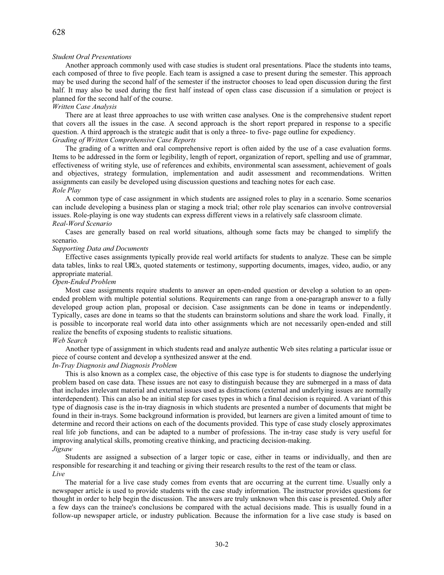## *Student Oral Presentations*

Another approach commonly used with case studies is student oral presentations. Place the students into teams, each composed of three to five people. Each team is assigned a case to present during the semester. This approach may be used during the second half of the semester if the instructor chooses to lead open discussion during the first half. It may also be used during the first half instead of open class case discussion if a simulation or project is planned for the second half of the course.

### *Written Case Analysis*

There are at least three approaches to use with written case analyses. One is the comprehensive student report that covers all the issues in the case. A second approach is the short report prepared in response to a specific question. A third approach is the strategic audit that is only a three- to five- page outline for expediency. *Grading of Written Comprehensive Case Reports* 

The grading of a written and oral comprehensive report is often aided by the use of a case evaluation forms. Items to be addressed in the form or legibility, length of report, organization of report, spelling and use of grammar, effectiveness of writing style, use of references and exhibits, environmental scan assessment, achievement of goals and objectives, strategy formulation, implementation and audit assessment and recommendations. Written assignments can easily be developed using discussion questions and teaching notes for each case. *Role Play* 

A common type of case assignment in which students are assigned roles to play in a scenario. Some scenarios can include developing a business plan or staging a mock trial; other role play scenarios can involve controversial issues. Role-playing is one way students can express different views in a relatively safe classroom climate. *Real-Word Scenario*

Cases are generally based on real world situations, although some facts may be changed to simplify the scenario.

## *Supporting Data and Documents*

Effective cases assignments typically provide real world artifacts for students to analyze. These can be simple data tables, links to real URL's, quoted statements or testimony, supporting documents, images, video, audio, or any appropriate material.

## *Open-Ended Problem*

Most case assignments require students to answer an open-ended question or develop a solution to an openended problem with multiple potential solutions. Requirements can range from a one-paragraph answer to a fully developed group action plan, proposal or decision. Case assignments can be done in teams or independently. Typically, cases are done in teams so that the students can brainstorm solutions and share the work load. Finally, it is possible to incorporate real world data into other assignments which are not necessarily open-ended and still realize the benefits of exposing students to realistic situations.

### *Web Search*

Another type of assignment in which students read and analyze authentic Web sites relating a particular issue or piece of course content and develop a synthesized answer at the end.

## *In-Tray Diagnosis and Diagnosis Problem*

This is also known as a complex case, the objective of this case type is for students to diagnose the underlying problem based on case data. These issues are not easy to distinguish because they are submerged in a mass of data that includes irrelevant material and external issues used as distractions (external and underlying issues are normally interdependent). This can also be an initial step for cases types in which a final decision is required. A variant of this type of diagnosis case is the in-tray diagnosis in which students are presented a number of documents that might be found in their in-trays. Some background information is provided, but learners are given a limited amount of time to determine and record their actions on each of the documents provided. This type of case study closely approximates real life job functions, and can be adapted to a number of professions. The in-tray case study is very useful for improving analytical skills, promoting creative thinking, and practicing decision-making.

## *Jigsaw*

Students are assigned a subsection of a larger topic or case, either in teams or individually, and then are responsible for researching it and teaching or giving their research results to the rest of the team or class. *Live*

The material for a live case study comes from events that are occurring at the current time. Usually only a newspaper article is used to provide students with the case study information. The instructor provides questions for thought in order to help begin the discussion. The answers are truly unknown when this case is presented. Only after a few days can the trainee's conclusions be compared with the actual decisions made. This is usually found in a follow-up newspaper article, or industry publication. Because the information for a live case study is based on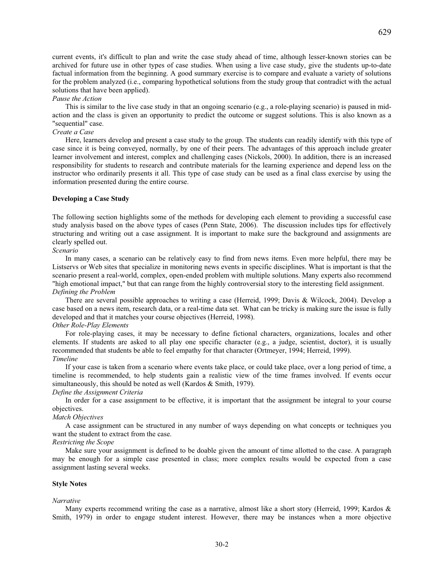current events, it's difficult to plan and write the case study ahead of time, although lesser-known stories can be archived for future use in other types of case studies. When using a live case study, give the students up-to-date factual information from the beginning. A good summary exercise is to compare and evaluate a variety of solutions for the problem analyzed (i.e., comparing hypothetical solutions from the study group that contradict with the actual solutions that have been applied).

## *Pause the Action*

This is similar to the live case study in that an ongoing scenario (e.g., a role-playing scenario) is paused in midaction and the class is given an opportunity to predict the outcome or suggest solutions. This is also known as a "sequential" case.

## *Create a Case*

Here, learners develop and present a case study to the group. The students can readily identify with this type of case since it is being conveyed, normally, by one of their peers. The advantages of this approach include greater learner involvement and interest, complex and challenging cases (Nickols, 2000). In addition, there is an increased responsibility for students to research and contribute materials for the learning experience and depend less on the instructor who ordinarily presents it all. This type of case study can be used as a final class exercise by using the information presented during the entire course.

### **Developing a Case Study**

The following section highlights some of the methods for developing each element to providing a successful case study analysis based on the above types of cases (Penn State, 2006). The discussion includes tips for effectively structuring and writing out a case assignment. It is important to make sure the background and assignments are clearly spelled out.

*Scenario* 

In many cases, a scenario can be relatively easy to find from news items. Even more helpful, there may be Listservs or Web sites that specialize in monitoring news events in specific disciplines. What is important is that the scenario present a real-world, complex, open-ended problem with multiple solutions. Many experts also recommend "high emotional impact," but that can range from the highly controversial story to the interesting field assignment. *Defining the Problem* 

There are several possible approaches to writing a case (Herreid, 1999; Davis & Wilcock, 2004). Develop a case based on a news item, research data, or a real-time data set. What can be tricky is making sure the issue is fully developed and that it matches your course objectives (Herreid, 1998).

## *Other Role-Play Elements*

For role-playing cases, it may be necessary to define fictional characters, organizations, locales and other elements. If students are asked to all play one specific character (e.g., a judge, scientist, doctor), it is usually recommended that students be able to feel empathy for that character (Ortmeyer, 1994; Herreid, 1999). *Timeline* 

If your case is taken from a scenario where events take place, or could take place, over a long period of time, a timeline is recommended, to help students gain a realistic view of the time frames involved. If events occur simultaneously, this should be noted as well (Kardos & Smith, 1979).

## *Define the Assignment Criteria*

In order for a case assignment to be effective, it is important that the assignment be integral to your course objectives.

## *Match Objectives*

A case assignment can be structured in any number of ways depending on what concepts or techniques you want the student to extract from the case.

## *Restricting the Scope*

Make sure your assignment is defined to be doable given the amount of time allotted to the case. A paragraph may be enough for a simple case presented in class; more complex results would be expected from a case assignment lasting several weeks.

## **Style Notes**

#### *Narrative*

Many experts recommend writing the case as a narrative, almost like a short story (Herreid, 1999; Kardos & Smith, 1979) in order to engage student interest. However, there may be instances when a more objective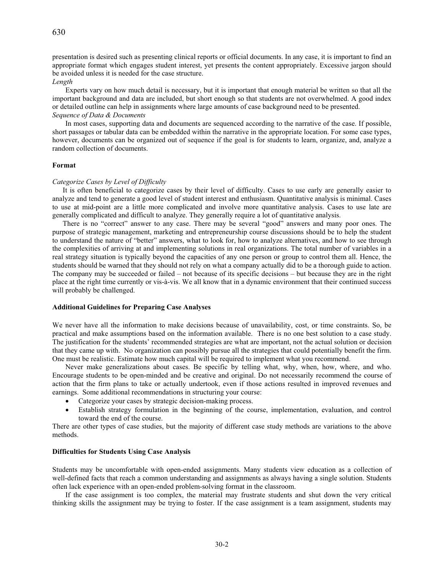presentation is desired such as presenting clinical reports or official documents. In any case, it is important to find an appropriate format which engages student interest, yet presents the content appropriately. Excessive jargon should be avoided unless it is needed for the case structure.

### *Length*

Experts vary on how much detail is necessary, but it is important that enough material be written so that all the important background and data are included, but short enough so that students are not overwhelmed. A good index or detailed outline can help in assignments where large amounts of case background need to be presented. *Sequence of Data & Documents* 

In most cases, supporting data and documents are sequenced according to the narrative of the case. If possible, short passages or tabular data can be embedded within the narrative in the appropriate location. For some case types, however, documents can be organized out of sequence if the goal is for students to learn, organize, and, analyze a random collection of documents.

## **Format**

#### *Categorize Cases by Level of Difficulty*

It is often beneficial to categorize cases by their level of difficulty. Cases to use early are generally easier to analyze and tend to generate a good level of student interest and enthusiasm. Quantitative analysis is minimal. Cases to use at mid-point are a little more complicated and involve more quantitative analysis. Cases to use late are generally complicated and difficult to analyze. They generally require a lot of quantitative analysis.

There is no "correct" answer to any case. There may be several "good" answers and many poor ones. The purpose of strategic management, marketing and entrepreneurship course discussions should be to help the student to understand the nature of "better" answers, what to look for, how to analyze alternatives, and how to see through the complexities of arriving at and implementing solutions in real organizations. The total number of variables in a real strategy situation is typically beyond the capacities of any one person or group to control them all. Hence, the students should be warned that they should not rely on what a company actually did to be a thorough guide to action. The company may be succeeded or failed – not because of its specific decisions – but because they are in the right place at the right time currently or vis-à-vis. We all know that in a dynamic environment that their continued success will probably be challenged.

## **Additional Guidelines for Preparing Case Analyses**

We never have all the information to make decisions because of unavailability, cost, or time constraints. So, be practical and make assumptions based on the information available. There is no one best solution to a case study. The justification for the students' recommended strategies are what are important, not the actual solution or decision that they came up with. No organization can possibly pursue all the strategies that could potentially benefit the firm. One must be realistic. Estimate how much capital will be required to implement what you recommend.

Never make generalizations about cases. Be specific by telling what, why, when, how, where, and who. Encourage students to be open-minded and be creative and original. Do not necessarily recommend the course of action that the firm plans to take or actually undertook, even if those actions resulted in improved revenues and earnings. Some additional recommendations in structuring your course:

- Categorize your cases by strategic decision-making process.
- x Establish strategy formulation in the beginning of the course, implementation, evaluation, and control toward the end of the course.

There are other types of case studies, but the majority of different case study methods are variations to the above methods.

#### **Difficulties for Students Using Case Analysis**

Students may be uncomfortable with open-ended assignments. Many students view education as a collection of well-defined facts that reach a common understanding and assignments as always having a single solution. Students often lack experience with an open-ended problem-solving format in the classroom.

If the case assignment is too complex, the material may frustrate students and shut down the very critical thinking skills the assignment may be trying to foster. If the case assignment is a team assignment, students may